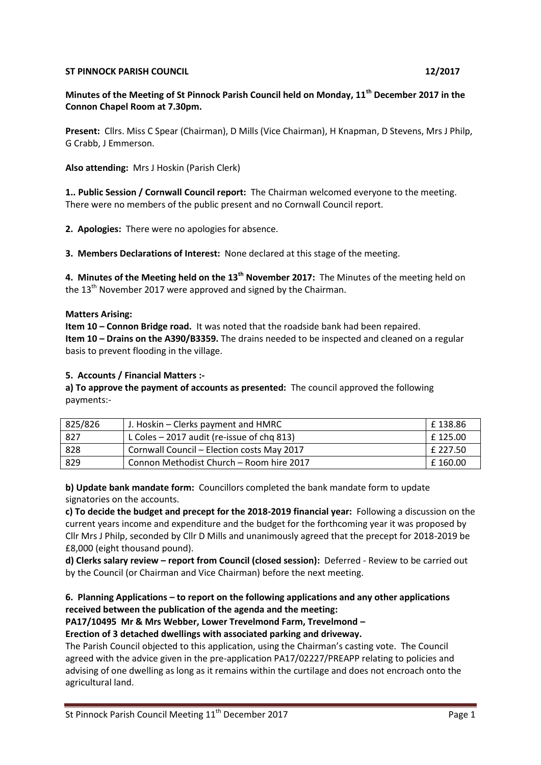#### **ST PINNOCK PARISH COUNCIL 12/2017**

## **Minutes of the Meeting of St Pinnock Parish Council held on Monday, 11th December 2017 in the Connon Chapel Room at 7.30pm.**

**Present:** Cllrs. Miss C Spear (Chairman), D Mills (Vice Chairman), H Knapman, D Stevens, Mrs J Philp, G Crabb, J Emmerson.

**Also attending:** Mrs J Hoskin (Parish Clerk)

**1.. Public Session / Cornwall Council report:** The Chairman welcomed everyone to the meeting. There were no members of the public present and no Cornwall Council report.

**2. Apologies:** There were no apologies for absence.

**3. Members Declarations of Interest:** None declared at this stage of the meeting.

**4. Minutes of the Meeting held on the 13th November 2017:** The Minutes of the meeting held on the  $13<sup>th</sup>$  November 2017 were approved and signed by the Chairman.

#### **Matters Arising:**

**Item 10 – Connon Bridge road.** It was noted that the roadside bank had been repaired. **Item 10 – Drains on the A390/B3359.** The drains needed to be inspected and cleaned on a regular basis to prevent flooding in the village.

#### **5. Accounts / Financial Matters :-**

**a) To approve the payment of accounts as presented:** The council approved the following payments:-

| 825/826 | J. Hoskin – Clerks payment and HMRC          | £138.86  |
|---------|----------------------------------------------|----------|
| -827    | L Coles $-$ 2017 audit (re-issue of chg 813) | £125.00  |
| 828     | Cornwall Council - Election costs May 2017   | £ 227.50 |
| 829     | Connon Methodist Church - Room hire 2017     | £160.00  |

**b) Update bank mandate form:** Councillors completed the bank mandate form to update signatories on the accounts.

**c) To decide the budget and precept for the 2018-2019 financial year:** Following a discussion on the current years income and expenditure and the budget for the forthcoming year it was proposed by Cllr Mrs J Philp, seconded by Cllr D Mills and unanimously agreed that the precept for 2018-2019 be £8,000 (eight thousand pound).

**d) Clerks salary review – report from Council (closed session):** Deferred - Review to be carried out by the Council (or Chairman and Vice Chairman) before the next meeting.

### **6. Planning Applications – to report on the following applications and any other applications received between the publication of the agenda and the meeting:**

#### **PA17/10495 Mr & Mrs Webber, Lower Trevelmond Farm, Trevelmond –**

**Erection of 3 detached dwellings with associated parking and driveway.**

The Parish Council objected to this application, using the Chairman's casting vote. The Council agreed with the advice given in the pre-application PA17/02227/PREAPP relating to policies and advising of one dwelling as long as it remains within the curtilage and does not encroach onto the agricultural land.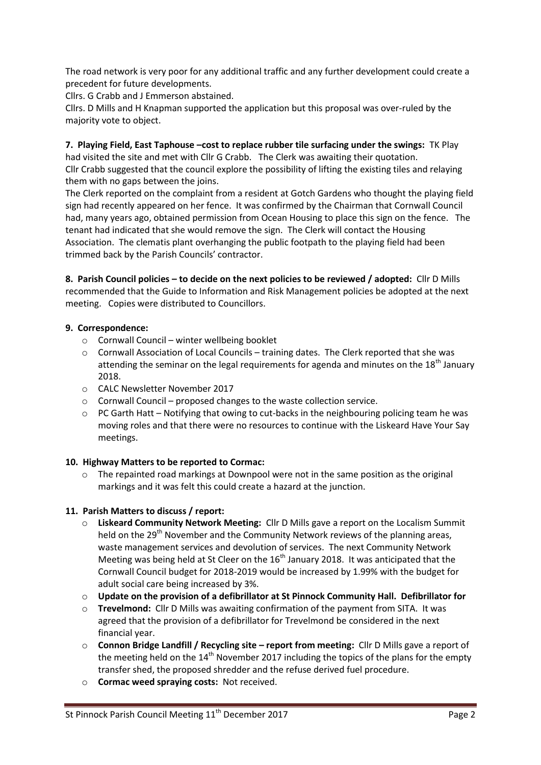The road network is very poor for any additional traffic and any further development could create a precedent for future developments.

Cllrs. G Crabb and J Emmerson abstained.

Cllrs. D Mills and H Knapman supported the application but this proposal was over-ruled by the majority vote to object.

## **7. Playing Field, East Taphouse –cost to replace rubber tile surfacing under the swings:** TK Play

had visited the site and met with Cllr G Crabb. The Clerk was awaiting their quotation. Cllr Crabb suggested that the council explore the possibility of lifting the existing tiles and relaying them with no gaps between the joins.

The Clerk reported on the complaint from a resident at Gotch Gardens who thought the playing field sign had recently appeared on her fence. It was confirmed by the Chairman that Cornwall Council had, many years ago, obtained permission from Ocean Housing to place this sign on the fence. The tenant had indicated that she would remove the sign. The Clerk will contact the Housing Association. The clematis plant overhanging the public footpath to the playing field had been trimmed back by the Parish Councils' contractor.

**8. Parish Council policies – to decide on the next policies to be reviewed / adopted:** Cllr D Mills recommended that the Guide to Information and Risk Management policies be adopted at the next meeting. Copies were distributed to Councillors.

## **9. Correspondence:**

- o Cornwall Council winter wellbeing booklet
- o Cornwall Association of Local Councils training dates. The Clerk reported that she was attending the seminar on the legal requirements for agenda and minutes on the  $18<sup>th</sup>$  January 2018.
- o CALC Newsletter November 2017
- o Cornwall Council proposed changes to the waste collection service.
- $\circ$  PC Garth Hatt Notifying that owing to cut-backs in the neighbouring policing team he was moving roles and that there were no resources to continue with the Liskeard Have Your Say meetings.

## **10. Highway Matters to be reported to Cormac:**

 $\circ$  The repainted road markings at Downpool were not in the same position as the original markings and it was felt this could create a hazard at the junction.

# **11. Parish Matters to discuss / report:**

- o **Liskeard Community Network Meeting:** Cllr D Mills gave a report on the Localism Summit held on the 29<sup>th</sup> November and the Community Network reviews of the planning areas, waste management services and devolution of services. The next Community Network Meeting was being held at St Cleer on the  $16<sup>th</sup>$  January 2018. It was anticipated that the Cornwall Council budget for 2018-2019 would be increased by 1.99% with the budget for adult social care being increased by 3%.
- o **Update on the provision of a defibrillator at St Pinnock Community Hall. Defibrillator for**
- o **Trevelmond:** Cllr D Mills was awaiting confirmation of the payment from SITA. It was agreed that the provision of a defibrillator for Trevelmond be considered in the next financial year.
- o **Connon Bridge Landfill / Recycling site – report from meeting:** Cllr D Mills gave a report of the meeting held on the  $14<sup>th</sup>$  November 2017 including the topics of the plans for the empty transfer shed, the proposed shredder and the refuse derived fuel procedure.
- o **Cormac weed spraying costs:** Not received.